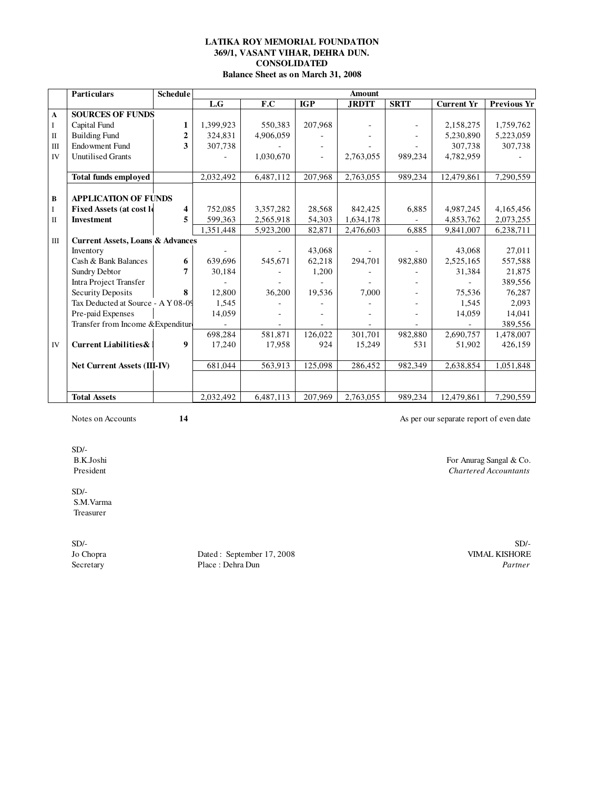### **369/1, VASANT VIHAR, DEHRA DUN. CONSOLIDATED Balance Sheet as on March 31, 2008 LATIKA ROY MEMORIAL FOUNDATION**

|                | <b>Particulars</b>                          | <b>Schedule</b> |           |           |            | <b>Amount</b> |             |                   |                    |
|----------------|---------------------------------------------|-----------------|-----------|-----------|------------|---------------|-------------|-------------------|--------------------|
|                |                                             |                 | L.G       | F.C       | <b>IGP</b> | <b>JRDTT</b>  | <b>SRTT</b> | <b>Current Yr</b> | <b>Previous Yr</b> |
| A              | <b>SOURCES OF FUNDS</b>                     |                 |           |           |            |               |             |                   |                    |
| I              | Capital Fund                                | 1               | 1,399,923 | 550.383   | 207.968    |               |             | 2,158,275         | 1,759,762          |
| $\mathbf{I}$   | <b>Building Fund</b>                        | $\overline{2}$  | 324,831   | 4,906,059 |            |               |             | 5,230,890         | 5,223,059          |
| $\mathbf{III}$ | <b>Endowment Fund</b>                       | 3               | 307.738   |           |            |               |             | 307,738           | 307,738            |
| <b>IV</b>      | <b>Unutilised Grants</b>                    |                 |           | 1,030,670 |            | 2,763,055     | 989,234     | 4,782,959         |                    |
|                |                                             |                 |           |           |            |               |             |                   |                    |
|                | <b>Total funds employed</b>                 |                 | 2,032,492 | 6,487,112 | 207,968    | 2,763,055     | 989,234     | 12,479,861        | 7,290,559          |
|                |                                             |                 |           |           |            |               |             |                   |                    |
| B              | <b>APPLICATION OF FUNDS</b>                 |                 |           |           |            |               |             |                   |                    |
| I              | <b>Fixed Assets (at cost le</b>             | 4               | 752,085   | 3,357,282 | 28,568     | 842,425       | 6,885       | 4,987,245         | 4,165,456          |
| $\Pi$          | <b>Investment</b>                           | 5               | 599,363   | 2,565,918 | 54,303     | 1,634,178     |             | 4,853,762         | 2,073,255          |
|                |                                             |                 | 1,351,448 | 5,923,200 | 82,871     | 2,476,603     | 6.885       | 9,841,007         | 6,238,711          |
| $\mathbf{III}$ | <b>Current Assets, Loans &amp; Advances</b> |                 |           |           |            |               |             |                   |                    |
|                | Inventory                                   |                 |           |           | 43,068     |               |             | 43,068            | 27,011             |
|                | Cash & Bank Balances                        | 6               | 639,696   | 545,671   | 62,218     | 294,701       | 982,880     | 2,525,165         | 557,588            |
|                | Sundry Debtor                               | 7               | 30,184    |           | 1,200      |               |             | 31,384            | 21.875             |
|                | Intra Project Transfer                      |                 |           |           |            |               |             |                   | 389,556            |
|                | Security Deposits                           | 8               | 12,800    | 36,200    | 19,536     | 7.000         |             | 75,536            | 76,287             |
|                | Tax Deducted at Source - A Y 08-09          |                 | 1,545     |           |            |               |             | 1,545             | 2,093              |
|                | Pre-paid Expenses                           |                 | 14,059    |           |            |               |             | 14,059            | 14,041             |
|                | Transfer from Income & Expenditure          |                 |           |           |            |               |             |                   | 389,556            |
|                |                                             |                 | 698,284   | 581,871   | 126.022    | 301,701       | 982.880     | 2,690,757         | 1,478,007          |
| IV             | <b>Current Liabilities &amp;</b>            | 9               | 17,240    | 17,958    | 924        | 15,249        | 531         | 51,902            | 426,159            |
|                |                                             |                 |           |           |            |               |             |                   |                    |
|                | Net Current Assets (III-IV)                 |                 | 681,044   | 563,913   | 125,098    | 286,452       | 982,349     | 2,638,854         | 1,051,848          |
|                |                                             |                 |           |           |            |               |             |                   |                    |
|                |                                             |                 |           |           |            |               |             |                   |                    |
|                | <b>Total Assets</b>                         |                 | 2,032,492 | 6,487,113 | 207,969    | 2.763.055     | 989.234     | 12,479,861        | 7,290,559          |

Notes on Accounts **14 14** As per our separate report of even date

SD/-<br>B.K.Joshi B.K.Joshi For Anurag Sangal & Co.<br>
President Chartered Accountants

SD/- S.M.Varma Treasurer

Jo Chopra Dated : September 17, 2008 VIMAL KISHORE Secretary Place : Dehra Dun Partner Place : Dehra Dun<br>
Partner

SD/- SD/-

 $$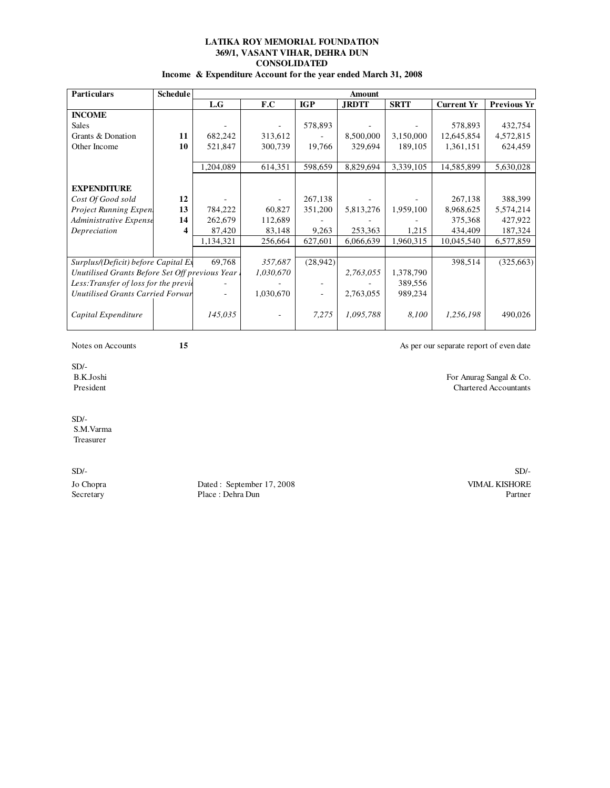### **CONSOLIDATED LATIKA ROY MEMORIAL FOUNDATION 369/1, VASANT VIHAR, DEHRA DUN**

**Income & Expenditure Account for the year ended March 31, 2008**

| <b>Particulars</b>                             | <b>Schedule</b> |           | Amount    |            |              |             |                   |                    |
|------------------------------------------------|-----------------|-----------|-----------|------------|--------------|-------------|-------------------|--------------------|
|                                                |                 | L.G       | F.C       | <b>IGP</b> | <b>JRDTT</b> | <b>SRTT</b> | <b>Current Yr</b> | <b>Previous Yr</b> |
| <b>INCOME</b>                                  |                 |           |           |            |              |             |                   |                    |
| <b>Sales</b>                                   |                 |           |           | 578,893    |              |             | 578,893           | 432,754            |
| Grants & Donation                              | 11              | 682,242   | 313,612   |            | 8,500,000    | 3,150,000   | 12,645,854        | 4,572,815          |
| Other Income                                   | 10              | 521,847   | 300,739   | 19,766     | 329,694      | 189,105     | 1,361,151         | 624,459            |
|                                                |                 |           |           |            |              |             |                   |                    |
|                                                |                 | 1,204,089 | 614,351   | 598,659    | 8,829,694    | 3,339,105   | 14,585,899        | 5,630,028          |
|                                                |                 |           |           |            |              |             |                   |                    |
| <b>EXPENDITURE</b>                             |                 |           |           |            |              |             |                   |                    |
| Cost Of Good sold                              | 12              |           |           | 267,138    |              |             | 267,138           | 388,399            |
| Project Running Expen.                         | 13              | 784,222   | 60,827    | 351,200    | 5,813,276    | 1,959,100   | 8,968,625         | 5,574,214          |
| Administrative Expense                         | 14              | 262,679   | 112,689   |            |              |             | 375,368           | 427,922            |
| Depreciation                                   | 4               | 87,420    | 83,148    | 9,263      | 253,363      | 1,215       | 434,409           | 187,324            |
|                                                |                 | 1,134,321 | 256,664   | 627,601    | 6,066,639    | 1,960,315   | 10,045,540        | 6,577,859          |
|                                                |                 |           |           |            |              |             |                   |                    |
| Surplus/(Deficit) before Capital Ex            |                 | 69,768    | 357,687   | (28,942)   |              |             | 398,514           | (325,663)          |
| Unutilised Grants Before Set Off previous Year |                 |           | 1,030,670 |            | 2,763,055    | 1,378,790   |                   |                    |
| Less: Transfer of loss for the previc          |                 |           |           |            |              | 389,556     |                   |                    |
| Unutilised Grants Carried Forwar               |                 |           | 1,030,670 |            | 2,763,055    | 989,234     |                   |                    |
| Capital Expenditure                            |                 | 145,035   |           | 7,275      | 1,095,788    | 8,100       | 1,256,198         | 490,026            |

Notes on Accounts **15 15** As per our separate report of even date

SD/-<br>B.K.Joshi B.K.Joshi For Anurag Sangal & Co.

 $SD/-$  S.M.Varma Treasurer

Jo Chopra Dated : September 17, 2008 VIMAL KISHORE Place : Dehra Dun

Chartered Accountants

SD/- SD/-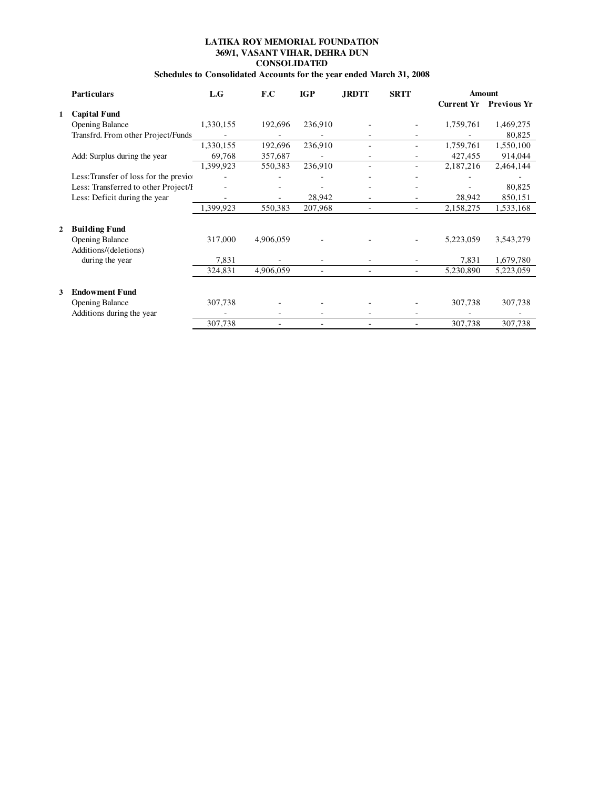## **CONSOLIDATED LATIKA ROY MEMORIAL FOUNDATION 369/1, VASANT VIHAR, DEHRA DUN**

# **Schedules to Consolidated Accounts for the year ended March 31, 2008**

|   | <b>Particulars</b>                    | L.G       | F.C       | <b>IGP</b> | <b>JRDTT</b>   | <b>SRTT</b> |                   | Amount             |
|---|---------------------------------------|-----------|-----------|------------|----------------|-------------|-------------------|--------------------|
|   |                                       |           |           |            |                |             | <b>Current Yr</b> | <b>Previous Yr</b> |
|   | <b>Capital Fund</b>                   |           |           |            |                |             |                   |                    |
|   | <b>Opening Balance</b>                | 1,330,155 | 192,696   | 236,910    |                |             | 1,759,761         | 1,469,275          |
|   | Transfrd. From other Project/Funds    |           |           |            |                |             |                   | 80,825             |
|   |                                       | 1,330,155 | 192,696   | 236,910    |                | ٠           | 1,759,761         | 1,550,100          |
|   | Add: Surplus during the year          | 69,768    | 357,687   |            | ٠              |             | 427,455           | 914,044            |
|   |                                       | 1,399,923 | 550,383   | 236,910    | $\overline{a}$ | -           | 2,187,216         | 2,464,144          |
|   | Less: Transfer of loss for the previo |           |           |            |                |             |                   |                    |
|   | Less: Transferred to other Project/I  |           |           |            |                |             |                   | 80,825             |
|   | Less: Deficit during the year         |           |           | 28,942     |                |             | 28,942            | 850,151            |
|   |                                       | 1,399,923 | 550,383   | 207,968    |                | ۰.          | 2,158,275         | 1,533,168          |
|   |                                       |           |           |            |                |             |                   |                    |
| 2 | <b>Building Fund</b>                  |           |           |            |                |             |                   |                    |
|   | <b>Opening Balance</b>                | 317,000   | 4,906,059 |            |                |             | 5,223,059         | 3,543,279          |
|   | Additions/(deletions)                 |           |           |            |                |             |                   |                    |
|   | during the year                       | 7,831     |           |            |                |             | 7,831             | 1,679,780          |
|   |                                       | 324,831   | 4,906,059 |            |                |             | 5,230,890         | 5,223,059          |
|   |                                       |           |           |            |                |             |                   |                    |
| 3 | <b>Endowment Fund</b>                 |           |           |            |                |             |                   |                    |
|   | <b>Opening Balance</b>                | 307,738   |           |            |                |             | 307,738           | 307,738            |
|   | Additions during the year             |           |           |            |                |             |                   |                    |
|   |                                       | 307,738   |           |            |                |             | 307,738           | 307,738            |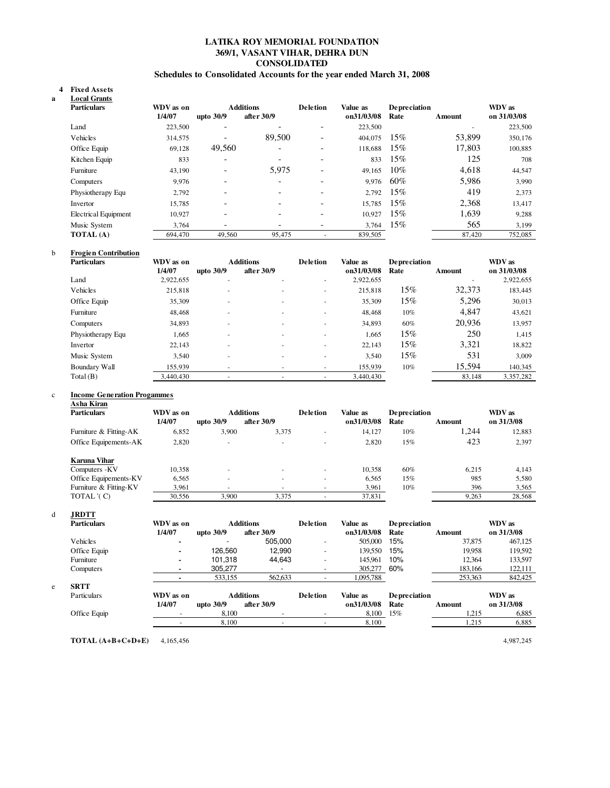### **LATIKA ROY MEMORIAL FOUNDATION 369/1, VASANT VIHAR, DEHRA DUN CONSOLIDATED**

### **Schedules to Consolidated Accounts for the year ended March 31, 2008**

#### **Fixed Assets 4 a Local Grants**

| <b>Particulars</b>          | WDV as on |                          | <b>Additions</b>         | <b>Deletion</b>              | Value as   | <b>Depreciation</b> |        | WDV as      |
|-----------------------------|-----------|--------------------------|--------------------------|------------------------------|------------|---------------------|--------|-------------|
|                             | 1/4/07    | upto $30/9$              | after 30/9               |                              | on31/03/08 | Rate                | Amount | on 31/03/08 |
| Land                        | 223,500   | $\overline{\phantom{0}}$ | $\overline{\phantom{0}}$ | -                            | 223,500    |                     |        | 223,500     |
| Vehicles                    | 314,575   | $\overline{\phantom{a}}$ | 89,500                   | $\qquad \qquad \blacksquare$ | 404,075    | 15%                 | 53,899 | 350,176     |
| Office Equip                | 69,128    | 49,560                   | $\overline{\phantom{0}}$ | $\overline{\phantom{0}}$     | 118,688    | 15%                 | 17,803 | 100,885     |
| Kitchen Equip               | 833       | $\overline{\phantom{a}}$ | $\overline{\phantom{0}}$ | -                            | 833        | 15%                 | 125    | 708         |
| Furniture                   | 43,190    | $\overline{\phantom{a}}$ | 5,975                    | $\overline{\phantom{0}}$     | 49.165     | 10%                 | 4,618  | 44,547      |
| Computers                   | 9,976     | $\overline{\phantom{0}}$ |                          | $\overline{\phantom{0}}$     | 9.976      | 60%                 | 5,986  | 3,990       |
| Physiotherapy Equ           | 2,792     | $\overline{\phantom{0}}$ |                          | -                            | 2.792      | 15%                 | 419    | 2,373       |
| Invertor                    | 15.785    | $\overline{\phantom{0}}$ |                          | $\overline{\phantom{0}}$     | 15.785     | $15\%$              | 2,368  | 13,417      |
| <b>Electrical Equipment</b> | 10,927    | $\overline{\phantom{0}}$ |                          | $\overline{\phantom{0}}$     | 10.927     | $15\%$              | 1,639  | 9,288       |
| Music System                | 3.764     |                          |                          | $\overline{\phantom{0}}$     | 3.764      | $15\%$              | 565    | 3,199       |
| <b>TOTAL</b> (A)            | 694,470   | 49.560                   | 95,475                   |                              | 839,505    |                     | 87,420 | 752,085     |

### b **Frogien Contribution**

| <b>Particulars</b> | WDV as on |                          | <b>Additions</b> | <b>Deletion</b> | Value as   | <b>Depreciation</b> |        | WDV as      |
|--------------------|-----------|--------------------------|------------------|-----------------|------------|---------------------|--------|-------------|
|                    | 1/4/07    | upto 30/9                | after 30/9       |                 | on31/03/08 | Rate                | Amount | on 31/03/08 |
| Land               | 2,922,655 | $\overline{\phantom{a}}$ |                  | ۰               | 2,922,655  |                     |        | 2,922,655   |
| Vehicles           | 215,818   | $\overline{\phantom{a}}$ | ۰                | ۰               | 215,818    | 15%                 | 32,373 | 183,445     |
| Office Equip       | 35,309    | $\overline{\phantom{a}}$ |                  | ۰               | 35,309     | 15%                 | 5,296  | 30,013      |
| Furniture          | 48,468    | ٠                        |                  |                 | 48,468     | 10%                 | 4,847  | 43,621      |
| Computers          | 34,893    | $\overline{\phantom{a}}$ | ۰                |                 | 34,893     | 60%                 | 20,936 | 13,957      |
| Physiotherapy Equ  | 1,665     | $\overline{\phantom{a}}$ |                  |                 | 1.665      | $15\%$              | 250    | 1,415       |
| Invertor           | 22,143    | ٠                        |                  | ۰               | 22,143     | 15%                 | 3.321  | 18,822      |
| Music System       | 3,540     | ٠                        |                  |                 | 3,540      | $15\%$              | 531    | 3,009       |
| Boundary Wall      | 155,939   |                          |                  |                 | 155,939    | 10%                 | 15,594 | 140,345     |
| Total(B)           | 3.440.430 | $\overline{\phantom{a}}$ | ۰                |                 | 3.440.430  |                     | 83,148 | 3,357,282   |

#### c **Income Generation Progammes Asha Kiran**

| <b>Particulars</b>     | WDV as on |                          | <b>Additions</b>         | <b>Deletion</b>          | Value as   | <b>Depreciation</b> |        | WDV as     |
|------------------------|-----------|--------------------------|--------------------------|--------------------------|------------|---------------------|--------|------------|
|                        | 1/4/07    | upto $30/9$              | after 30/9               |                          | on31/03/08 | Rate                | Amount | on 31/3/08 |
| Furniture & Fitting-AK | 6,852     | 3.900                    | 3,375                    | $\overline{\phantom{a}}$ | 14.127     | $10\%$              | 1.244  | 12,883     |
| Office Equipements-AK  | 2,820     | $\overline{\phantom{a}}$ | $\overline{\phantom{0}}$ | ٠                        | 2,820      | 15%                 | 423    | 2,397      |
| Karuna Vihar           |           |                          |                          |                          |            |                     |        |            |
| Computers - KV         | 10.358    | $\overline{\phantom{a}}$ | $\sim$                   | $\sim$                   | 10.358     | 60%                 | 6.215  | 4.143      |
| Office Equipements-KV  | 6,565     | $\overline{\phantom{a}}$ |                          |                          | 6.565      | 15%                 | 985    | 5,580      |
| Furniture & Fitting-KV | 3,961     |                          |                          | -                        | 3,961      | 10%                 | 396    | 3,565      |
| TOTAL '(C)             | 30,556    | 3.900                    | 3,375                    |                          | 37,831     |                     | 9,263  | 28,568     |

### d **JRDTT**

|   | <b>Particulars</b> | WDV as on |             | <b>Additions</b> | <b>Deletion</b>          | Value as   | Depreciation |         | WDV as     |
|---|--------------------|-----------|-------------|------------------|--------------------------|------------|--------------|---------|------------|
|   |                    | 1/4/07    | upto $30/9$ | after 30/9       |                          | on31/03/08 | Rate         | Amount  | on 31/3/08 |
|   | Vehicles           |           |             | 505.000          | $\overline{\phantom{a}}$ | 505,000    | 15%          | 37,875  | 467,125    |
|   | Office Equip       |           | 126.560     | 12.990           | $\overline{\phantom{a}}$ | 139.550    | 15%          | 19.958  | 119.592    |
|   | Furniture          |           | 101.318     | 44,643           | $\overline{\phantom{a}}$ | 145.961    | 10%          | 12,364  | 133,597    |
|   | Computers          |           | 305.277     |                  |                          | 305,277    | 60%          | 183,166 | 122,111    |
|   |                    |           | 533,155     | 562,633          |                          | 1,095,788  |              | 253,363 | 842,425    |
| e | <b>SRTT</b>        |           |             |                  |                          |            |              |         |            |
|   | Particulars        | WDV as on |             | <b>Additions</b> | <b>Deletion</b>          | Value as   | Depreciation |         | WDV as     |
|   |                    | 1/4/07    | upto $30/9$ | after 30/9       |                          | on31/03/08 | Rate         | Amount  | on 31/3/08 |
|   | Office Equip       |           | 8.100       |                  |                          | 8,100      | 15%          | 1.215   | 6,885      |
|   |                    |           | 8,100       |                  |                          | 8,100      |              | 1,215   | 6,885      |
|   |                    |           |             |                  |                          |            |              |         |            |

**TOTAL (A+B+C+D+E)** 4,165,456 4,987,245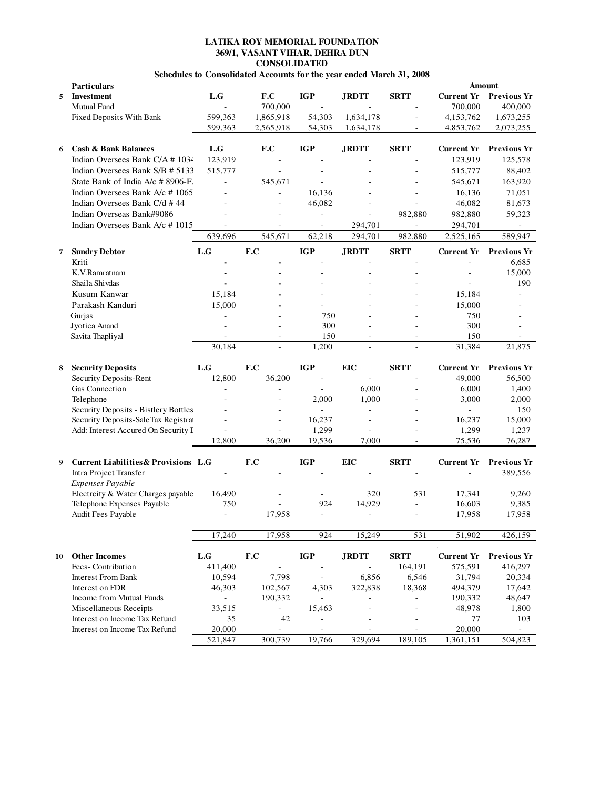### **CONSOLIDATED LATIKA ROY MEMORIAL FOUNDATION 369/1, VASANT VIHAR, DEHRA DUN**

## **Schedules to Consolidated Accounts for the year ended March 31, 2008**

|    | Particulars                                     |                             |                          |                              |                          |                          |                     | Amount                        |
|----|-------------------------------------------------|-----------------------------|--------------------------|------------------------------|--------------------------|--------------------------|---------------------|-------------------------------|
| 5  | <b>Investment</b>                               | L.G                         | F.C                      | <b>IGP</b>                   | <b>JRDTT</b>             | <b>SRTT</b>              | <b>Current Yr</b>   | <b>Previous Yr</b>            |
|    | Mutual Fund                                     |                             | 700,000                  |                              |                          |                          | 700,000             | 400,000                       |
|    | Fixed Deposits With Bank                        | 599,363                     | 1,865,918                | 54,303                       | 1,634,178                |                          | 4,153,762           | 1,673,255                     |
|    |                                                 | 599,363                     | 2,565,918                | 54,303                       | 1,634,178                | $\blacksquare$           | 4,853,762           | 2,073,255                     |
|    |                                                 |                             |                          |                              |                          |                          |                     |                               |
| 6  | <b>Cash &amp; Bank Balances</b>                 | L.G                         | F.C                      | <b>IGP</b>                   | <b>JRDTT</b>             | <b>SRTT</b>              | <b>Current Yr</b>   | <b>Previous Yr</b>            |
|    | Indian Oversees Bank C/A # 1034                 | 123,919                     |                          |                              |                          |                          | 123,919             | 125,578                       |
|    | Indian Oversees Bank S/B # 5133                 | 515,777                     |                          |                              |                          |                          | 515,777             | 88,402                        |
|    | State Bank of India A/c # 8906-F.               | $\blacksquare$              | 545,671                  | ä,                           |                          |                          | 545,671             | 163,920                       |
|    | Indian Oversees Bank A/c #1065                  |                             |                          | 16,136                       |                          |                          | 16,136              | 71,051                        |
|    | Indian Oversees Bank C/d #44                    |                             | L.                       | 46,082                       | $\overline{a}$           |                          | 46,082              | 81,673                        |
|    | Indian Overseas Bank#9086                       |                             |                          |                              |                          | 982,880                  | 982,880             | 59,323                        |
|    | Indian Oversees Bank A/c #1015                  | $\sim$                      | ÷.                       | ÷,                           | 294,701                  | $\blacksquare$           | 294,701             | $\sim$                        |
|    |                                                 | 639,696                     | 545,671                  | 62,218                       | 294,701                  | 982,880                  | 2,525,165           | 589,947                       |
| 7  | <b>Sundry Debtor</b>                            | L.G                         | F.C                      | <b>IGP</b>                   | <b>JRDTT</b>             | <b>SRTT</b>              |                     | <b>Current Yr Previous Yr</b> |
|    | Kriti                                           |                             |                          |                              |                          |                          |                     | 6,685                         |
|    | K.V.Ramratnam                                   |                             |                          |                              |                          |                          |                     | 15,000                        |
|    | Shaila Shivdas                                  |                             |                          |                              |                          |                          |                     | 190                           |
|    | Kusum Kanwar                                    | 15,184                      |                          |                              |                          |                          | 15,184              |                               |
|    | Parakash Kanduri                                | 15,000                      |                          |                              |                          |                          | 15,000              |                               |
|    | Gurjas                                          | $\overline{a}$              |                          | 750                          |                          |                          | 750                 |                               |
|    | Jyotica Anand                                   |                             |                          | 300                          |                          |                          | 300                 |                               |
|    | Savita Thapliyal                                |                             | $\overline{\phantom{a}}$ | 150                          | $\blacksquare$           | $\sim$                   | 150                 | ٠                             |
|    |                                                 | 30,184                      | ÷,                       | 1,200                        | $\overline{\phantom{a}}$ | ÷,                       | 31,384              | 21,875                        |
|    |                                                 |                             |                          |                              |                          |                          |                     |                               |
| 8  | <b>Security Deposits</b>                        | L.G                         | F.C                      | <b>IGP</b>                   | <b>EIC</b>               | <b>SRTT</b>              | <b>Current Yr</b>   | <b>Previous Yr</b>            |
|    | Security Deposits-Rent                          | 12,800                      | 36,200                   | $\qquad \qquad \blacksquare$ | $\bar{a}$                |                          | 49,000              | 56,500                        |
|    | Gas Connection                                  |                             |                          | ä,                           | 6,000                    |                          | 6,000               | 1,400                         |
|    | Telephone                                       |                             |                          | 2,000                        | 1,000                    |                          | 3,000               | 2,000                         |
|    | Security Deposits - Bistlery Bottles            |                             |                          | L.                           |                          |                          | ä,                  | 150                           |
|    | Security Deposits-SaleTax Registra              |                             | ä,                       | 16,237                       | ä,                       |                          | 16,237              | 15,000                        |
|    | Add: Interest Accured On Security I             |                             |                          | 1,299                        |                          | $\overline{\phantom{a}}$ | 1,299               | 1,237                         |
|    |                                                 | 12,800                      | 36,200                   |                              |                          |                          |                     |                               |
|    |                                                 |                             |                          | 19,536                       | 7,000                    | ÷,                       | 75,536              | 76,287                        |
| 9  |                                                 |                             |                          |                              |                          |                          |                     |                               |
|    | <b>Current Liabilities &amp; Provisions L.G</b> |                             | F.C                      | <b>IGP</b>                   | <b>EIC</b>               | <b>SRTT</b>              | <b>Current Yr</b>   | <b>Previous Yr</b>            |
|    | Intra Project Transfer                          |                             |                          |                              |                          |                          | ÷,                  | 389,556                       |
|    | Expenses Payable                                |                             |                          |                              |                          |                          |                     |                               |
|    | Electrcity & Water Charges payable              | 16,490                      |                          |                              | 320                      | 531                      | 17,341              | 9,260                         |
|    | Telephone Expenses Payable                      | 750                         |                          | 924                          | 14,929                   |                          | 16,603              | 9,385                         |
|    | Audit Fees Payable                              | $\bar{a}$                   | 17,958                   | ÷,                           | $\overline{\phantom{a}}$ |                          | 17,958              | 17,958                        |
|    |                                                 | 17,240                      | 17,958                   | 924                          | 15,249                   | 531                      | 51,902              | 426,159                       |
|    |                                                 |                             |                          |                              |                          |                          |                     |                               |
| 10 | <b>Other Incomes</b>                            | $\mathbf{L}.\mathbf{G}$     | F.C                      | <b>IGP</b>                   | <b>JRDTT</b>             | <b>SRTT</b>              | <b>Current Yr</b>   | <b>Previous Yr</b>            |
|    | Fees-Contribution                               | 411,400                     | ÷,                       | $\blacksquare$               | $\overline{\phantom{a}}$ | 164,191                  | 575,591             | 416,297                       |
|    | <b>Interest From Bank</b>                       | 10,594                      | 7,798                    | $\blacksquare$               | 6,856                    | 6,546                    | 31,794              | 20,334                        |
|    | Interest on FDR                                 | 46,303                      | 102,567                  | 4,303                        | 322,838                  | 18,368                   | 494,379             | 17,642                        |
|    | Income from Mutual Funds                        | $\mathcal{L}_{\mathcal{A}}$ | 190,332                  |                              |                          |                          | 190,332             | 48,647                        |
|    | Miscellaneous Receipts                          | 33,515                      |                          | 15,463                       |                          |                          | 48,978              | 1,800                         |
|    | Interest on Income Tax Refund                   | 35                          | 42                       | ÷,                           |                          |                          | 77                  | 103                           |
|    | Interest on Income Tax Refund                   | 20,000<br>521,847           | L,<br>300,739            | ä,<br>19,766                 | $\sim$<br>329,694        | $\sim$<br>189,105        | 20,000<br>1,361,151 | $\blacksquare$<br>504,823     |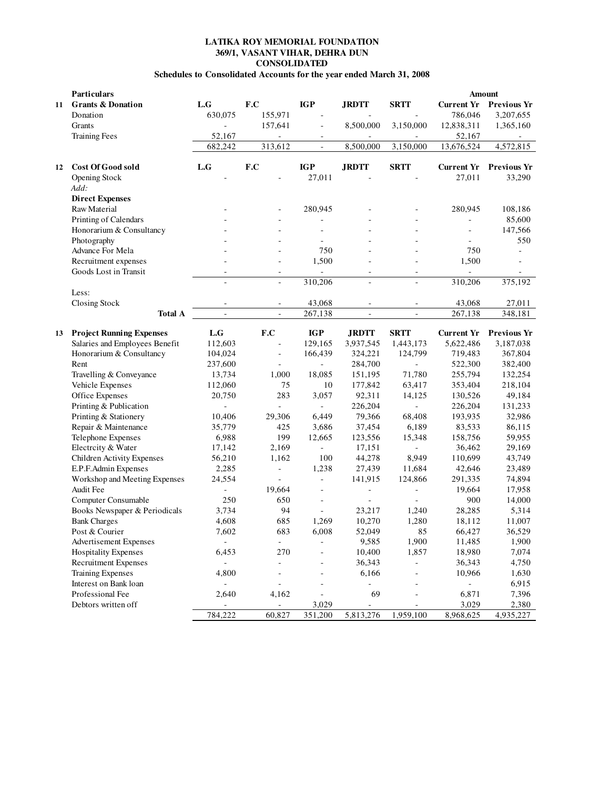# **LATIKA ROY MEMORIAL FOUNDATION 369/1, VASANT VIHAR, DEHRA DUN CONSOLIDATED**

# **Schedules to Consolidated Accounts for the year ended March 31, 2008**

|    | Particulars                     |                          |                          |                          |                          |             | Amount            |                    |
|----|---------------------------------|--------------------------|--------------------------|--------------------------|--------------------------|-------------|-------------------|--------------------|
| 11 | <b>Grants &amp; Donation</b>    | L.G                      | F.C                      | <b>IGP</b>               | <b>JRDTT</b>             | <b>SRTT</b> | <b>Current Yr</b> | <b>Previous Yr</b> |
|    | Donation                        | 630,075                  | 155,971                  | ÷,                       |                          |             | 786,046           | 3,207,655          |
|    | Grants                          |                          | 157,641                  | ÷,                       | 8,500,000                | 3,150,000   | 12,838,311        | 1,365,160          |
|    | <b>Training Fees</b>            | 52,167                   | $\overline{\phantom{a}}$ |                          | $\overline{\phantom{a}}$ |             | 52,167            |                    |
|    |                                 | 682,242                  | 313,612                  | $\frac{1}{2}$            | 8,500,000                | 3,150,000   | 13,676,524        | 4,572,815          |
|    |                                 |                          |                          |                          |                          |             |                   |                    |
| 12 | <b>Cost Of Good sold</b>        | L.G                      | F.C                      | <b>IGP</b>               | <b>JRDTT</b>             | <b>SRTT</b> | <b>Current Yr</b> | <b>Previous Yr</b> |
|    | <b>Opening Stock</b>            |                          |                          | 27,011                   |                          |             | 27,011            | 33,290             |
|    | Add:                            |                          |                          |                          |                          |             |                   |                    |
|    | <b>Direct Expenses</b>          |                          |                          |                          |                          |             |                   |                    |
|    | Raw Material                    |                          |                          | 280,945                  |                          |             | 280,945           | 108,186            |
|    | Printing of Calendars           |                          |                          |                          |                          |             | L                 | 85,600             |
|    | Honorarium & Consultancy        |                          |                          |                          |                          |             | ä,                | 147,566            |
|    | Photography                     |                          |                          |                          |                          |             |                   | 550                |
|    | Advance For Mela                |                          |                          | 750                      |                          |             | 750               | ÷.                 |
|    | Recruitment expenses            |                          | ä,                       | 1,500                    |                          |             | 1,500             |                    |
|    | Goods Lost in Transit           |                          | ÷,                       |                          | $\bar{\phantom{a}}$      | $\bar{a}$   | ÷,                |                    |
|    |                                 | ÷,                       | ÷,                       | 310,206                  | ä,                       | L.          | 310,206           | 375,192            |
|    | Less:                           |                          |                          |                          |                          |             |                   |                    |
|    | <b>Closing Stock</b>            |                          |                          | 43,068                   |                          |             | 43,068            | 27,011             |
|    | <b>Total A</b>                  | $\mathbb{Z}^2$           | ä,                       | 267,138                  | $\mathbb{Z}^2$           | L.          | 267,138           | 348,181            |
|    |                                 |                          |                          |                          |                          |             |                   |                    |
| 13 | <b>Project Running Expenses</b> | L.G                      | F.C                      | <b>IGP</b>               | <b>JRDTT</b>             | <b>SRTT</b> | <b>Current Yr</b> | <b>Previous Yr</b> |
|    | Salaries and Employees Benefit  | 112,603                  | Ĭ.                       | 129,165                  | 3,937,545                | 1,443,173   | 5,622,486         | 3,187,038          |
|    | Honorarium & Consultancy        | 104,024                  | $\blacksquare$           | 166,439                  | 324,221                  | 124,799     | 719,483           | 367,804            |
|    | Rent                            | 237,600                  | L,                       | ä,                       | 284,700                  |             | 522,300           | 382,400            |
|    | Travelling & Conveyance         | 13,734                   | 1,000                    | 18,085                   | 151,195                  | 71,780      | 255,794           | 132,254            |
|    | Vehicle Expenses                | 112,060                  | 75                       | 10                       | 177,842                  | 63,417      | 353,404           | 218,104            |
|    | Office Expenses                 | 20,750                   | 283                      | 3,057                    | 92,311                   | 14,125      | 130,526           | 49,184             |
|    | Printing & Publication          | $\sim$                   | L.                       | $\bar{a}$                | 226,204                  |             | 226,204           | 131,233            |
|    | Printing & Stationery           | 10,406                   | 29,306                   | 6,449                    | 79,366                   | 68,408      | 193,935           | 32,986             |
|    | Repair & Maintenance            | 35,779                   | 425                      | 3,686                    | 37,454                   | 6,189       | 83,533            | 86,115             |
|    | Telephone Expenses              | 6,988                    | 199                      | 12,665                   | 123,556                  | 15,348      | 158,756           | 59,955             |
|    | Electrcity & Water              | 17,142                   | 2,169                    | ä,                       | 17,151                   |             | 36,462            | 29,169             |
|    | Children Activity Expenses      | 56,210                   | 1,162                    | 100                      | 44,278                   | 8,949       | 110,699           | 43,749             |
|    | E.P.F.Admin Expenses            | 2,285                    | ÷,                       | 1,238                    | 27,439                   | 11,684      | 42,646            | 23,489             |
|    | Workshop and Meeting Expenses   | 24,554                   | L.                       | $\bar{a}$                | 141,915                  | 124,866     | 291,335           | 74,894             |
|    | Audit Fee                       |                          | 19,664                   | Ĭ.                       | ÷,                       |             | 19,664            | 17,958             |
|    | Computer Consumable             | 250                      | 650                      | $\overline{\phantom{a}}$ |                          |             | 900               | 14,000             |
|    | Books Newspaper & Periodicals   | 3,734                    | 94                       | $\sim$                   | 23,217                   | 1,240       | 28,285            | 5,314              |
|    | <b>Bank Charges</b>             | 4,608                    | 685                      | 1,269                    | 10,270                   | 1,280       | 18,112            | 11,007             |
|    | Post & Courier                  | 7,602                    | 683                      | 6,008                    | 52,049                   | 85          | 66,427            | 36,529             |
|    | Advertisement Expenses          | $\overline{\phantom{a}}$ | $\blacksquare$           |                          | 9,585                    | 1,900       | 11,485            | 1,900              |
|    | <b>Hospitality Expenses</b>     | 6,453                    | 270                      |                          | 10,400                   | 1,857       | 18,980            | 7,074              |
|    | <b>Recruitment Expenses</b>     | $\overline{\phantom{a}}$ | ÷,                       |                          | 36,343                   |             | 36,343            | 4,750              |
|    | Training Expenses               | 4,800                    | ÷,                       |                          | 6,166                    |             | 10,966            | 1,630              |
|    | Interest on Bank loan           | $\blacksquare$           | ÷,                       | ÷,                       |                          |             |                   | 6,915              |
|    | Professional Fee                | 2,640                    | 4,162                    | ÷,                       | 69                       |             | 6,871             | 7,396              |
|    | Debtors written off             | $\overline{\phantom{a}}$ | $\overline{\phantom{0}}$ | 3,029                    |                          |             | 3,029             | 2,380              |
|    |                                 | 784,222                  | 60,827                   | 351,200                  | 5,813,276                | 1,959,100   | 8,968,625         | 4,935,227          |